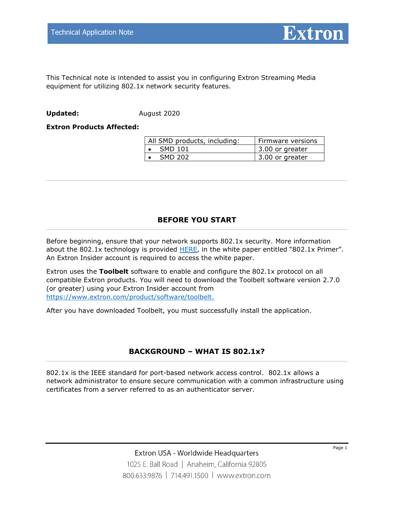

This Technical note is intended to assist you in configuring Extron Streaming Media equipment for utilizing 802.1x network security features.

**Updated:** August 2020

#### **Extron Products Affected:**

| All SMD products, including: | Firmware versions              |  |  |
|------------------------------|--------------------------------|--|--|
| <b>SMD 101</b>               | $\overline{1}$ 3.00 or greater |  |  |
| SMD 202                      | 3.00 or greater                |  |  |

## **BEFORE YOU START**

Before beginning, ensure that your network supports 802.1x security. More information about the 802.1x technology is provided  $HERE$ , in the white paper entitled "802.1x Primer". An Extron Insider account is required to access the white paper.

Extron uses the **Toolbelt** software to enable and configure the 802.1x protocol on all compatible Extron products. You will need to download the Toolbelt software version 2.7.0 (or greater) using your Extron Insider account from [https://www.extron.com/product/software/toolbelt.](https://www.extron.com/product/software/toolbelt)

After you have downloaded Toolbelt, you must successfully install the application.

## **BACKGROUND – WHAT IS 802.1x?**

802.1x is the IEEE standard for port-based network access control. 802.1x allows a network administrator to ensure secure communication with a common infrastructure using certificates from a server referred to as an authenticator server.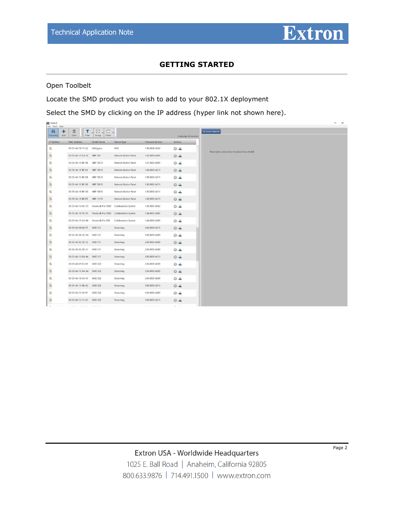

# **GETTING STARTED**

Open Toolbelt

Locate the SMD product you wish to add to your 802.1X deployment

Select the SMD by clicking on the IP address (hyper link not shown here).

| <b>ILL</b> Toolbelt<br>File Tools Help |                                                                            |                                      |                                                           |                                             |                                            |
|----------------------------------------|----------------------------------------------------------------------------|--------------------------------------|-----------------------------------------------------------|---------------------------------------------|--------------------------------------------|
| ΔÄ<br>٠<br>Discovery<br>Add            | 面<br>T<br>Filter<br>Clear                                                  | 届<br>$\Box$<br>Fields<br>Group       |                                                           |                                             |                                            |
| IP Address                             | <b>MAC Address</b>                                                         | Model Name                           | Device Type                                               | <b>Firmware Version</b>                     | Displaying 103 device(s)<br><b>Actions</b> |
| Α                                      | 00-05-A6-19-17-22                                                          | NAVigator                            | NAV                                                       | 1.00.0006-b033                              | $0 +$                                      |
| $\mathbf{a}$                           | 00-05-A6-17-CA-3C NBP 100                                                  |                                      | Network Button Panel                                      | 1.02.0000-b001                              | ◎上                                         |
| m<br>a                                 | 00-05-A6-15-BF-4B                                                          | NBP 105 D                            | Network Button Panel                                      | 1.01.0000-b005                              | $0 +$                                      |
| $\mathbf{a}$                           | 00-05-A6-15-BF-63                                                          | NBP 105 D                            | Network Button Panel                                      | 1.00.0000-b010                              | $0 +$                                      |
| m<br>Α                                 | 00-05-A6-15-BF-0B                                                          | NBP 106 D                            | Network Button Panel                                      | 1.00.0000-b011                              | ◎▲                                         |
| $\mathbf{a}$                           | 00-05-A6-15-BF-5B                                                          | NBP 108 D                            | Network Button Panel                                      | 1.00.0000-b011                              | ◎▲                                         |
| $\mathbf{a}$                           | 00-05-A6-15-BF-4D NBP 108 D                                                |                                      | Network Button Panel                                      | 1.00.0000-b011                              | $0 +$                                      |
| $\Delta$<br>m                          | 00-05-A6-15-BE-F5 NBP 110 D                                                |                                      | Network Button Panel                                      | 1.00.0000-b010                              | 04                                         |
| $\mathbf{a}$                           |                                                                            | 00-05-A6-16-45-7D ShareLink Pro 1000 | Collaboration System                                      | 1.05.0000-b002                              | $0 +$                                      |
| $\mathbf{a}$                           |                                                                            |                                      | 00-05-A6-1B-95-59 ShareLink Pro 1000 Collaboration System | 1.04.0002-b002                              | 04                                         |
| $\mathbf{a}$                           | 00-05-A6-19-CA-B6 ShareLink Pro 500                                        |                                      | Collaboration System                                      | 1.04.0000-b003                              | $0 +$                                      |
| $\mathbf{a}$<br>m                      | 00-05-A6-08-80-57 SMD 101                                                  |                                      | Streaming                                                 | 3.00.0000-b010                              | $0 +$                                      |
| $\mathbf{a}$                           | 00-05-A6-0A-5C-9A SMD 101                                                  |                                      | Streaming                                                 | 3.00.0000-b009                              | $0 +$                                      |
| $\mathbf{a}$<br>e si                   | 00-05-A6-0C-87-32 SMD 101                                                  |                                      | Streaming                                                 | 2.04.0000-b009                              | 04                                         |
| $\Delta$                               | 00-05-A6-0C-87-21 SMD 101                                                  |                                      | Streaming                                                 | 2.04.0000-b009                              | $0 +$                                      |
| $\Delta$<br>œ                          | 00-05-A6-13-D4-8A SMD 101                                                  |                                      | Streaming                                                 | 3.00.0000-b010                              | $0 +$                                      |
| $\mathbf{a}$                           | 00-05-A6-0F-EC-69 SMD 202                                                  |                                      | Streaming                                                 | 2.04.0000-b009                              | $0 +$                                      |
| $\mathbf{a}$<br>×                      | 00-05-A6-15-AA-8A SMD 202                                                  |                                      | Streaming                                                 | 2.04.0000-b009                              | ◎土                                         |
| Α                                      | 00-05-A6-18-3A-F0 SMD 202                                                  |                                      | Streaming                                                 | 2.04.0000-b009                              | $0 +$                                      |
| $\mathbf{a}$<br>w                      | 00-05-A6-11-88-AC SMD 202                                                  |                                      | Streaming                                                 | 3.00.0000-b010                              | 04                                         |
| $\mathbf{a}$                           | 00-05-A6-10-41-0F SMD 202                                                  |                                      | Streaming                                                 | 2.04.0000-b009                              | $0 +$                                      |
| $\mathbf{a}$<br>$\sim$                 | 00-05-A6-12-1C-67 SMD 202<br>and and the transportation of the state and a |                                      | Streaming<br>car in the                                   | 3.00.0000-b010<br>with a complete three and | ◎▲<br>and the                              |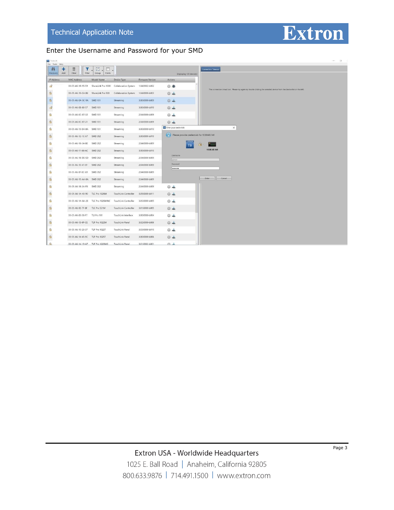

## Enter the Username and Password for your SMD

| <b>The Toolbelt</b>                                   |                                  |                                    |                             |                  |                                             | <b>DF</b><br><b>Service</b>                                                                                         |  |
|-------------------------------------------------------|----------------------------------|------------------------------------|-----------------------------|------------------|---------------------------------------------|---------------------------------------------------------------------------------------------------------------------|--|
| File Tools Help<br>٠<br>4â<br>Add<br><b>Discovery</b> | Y<br>面<br>Filter<br>Clear        | $\Box$<br>届<br>Fields<br>Group     |                             |                  | Displaying 101 device(s)                    | <b>Connection Timeout</b>                                                                                           |  |
| IP Address                                            | MAC Address                      | Model Name                         | Device Type                 | Firmware Version | Actions                                     |                                                                                                                     |  |
| nP                                                    | 00-05-A6-1B-95-59                | ShareLink Pro 1000                 | Collaboration System        | 1.04.0002-b002   | ◎■                                          |                                                                                                                     |  |
| $\mathbf{a}$                                          | 00-05-A6-19-CA-B6                | ShareLink Pro 500                  | Collaboration System        | 1.04.0000-b003   | ◎よ                                          | The connection timed out. Please try again by double clicking the selected device from the device list on the left. |  |
| $\mathbf{a}$                                          | 00-05-A6-0A-5C-9A SMD 101        |                                    | Streaming                   | 3.00.0000-b009   | 04                                          |                                                                                                                     |  |
| $\mathbf{f}$                                          | 00-05-A6-08-80-57 SMD 101        |                                    | Streaming                   | 3.00.0000-b010   | $0 +$                                       |                                                                                                                     |  |
| $\mathbf{a}$                                          | 00-05-A6-OC-87-32 SMD 101        |                                    | Streaming                   | 2.04.0000-b009   | 04                                          |                                                                                                                     |  |
| $\mathbf{a}$                                          | 00-05-A6-OC-87-21 SMD 101        |                                    | Streaming                   | 2.04.0000-b009   | $0 - 1$                                     |                                                                                                                     |  |
| a s<br>$\mathbf{\Omega}$                              | 00-05-A6-13-D4-BA                | <b>SMD 101</b>                     | Streaming                   | 3.00.0000-b010   | Enteryour credentials                       | $\times$                                                                                                            |  |
| $\mathbf{a}$                                          | 00-05-A6-12-1C-67 SMD 202        |                                    | Streaming                   | 3.00.0000-b010   | Please provide credentials for 10.80.40.140 |                                                                                                                     |  |
| Α                                                     | 00-05-A6-18-3A-BE SMD 202        |                                    | Streaming                   | 2.04.0000-b009   | <b>EXTRON</b><br>19.<br><b>TB</b>           |                                                                                                                     |  |
| $\mathbf{a}$                                          | 00-05-A6-11-88-AC SMD 202        |                                    | Streaming                   | 3.00.0000-b010   |                                             | 10.80.40.140                                                                                                        |  |
| $\mathbf{a}$                                          | 00-05-A6-18-DE-5D                | <b>SMD 202</b>                     | Streaming                   | 2.04.0000-b009   | Username<br>admin                           |                                                                                                                     |  |
| $\mathbf{a}$                                          | 00-05-A6-10-41-0F                | <b>SMD 202</b>                     | Streaming                   | 2.04.0000-b009   | Password                                    |                                                                                                                     |  |
| <b>STAR</b><br>A                                      | 00-05-A6-0F-EC-69                | <b>SMD 202</b>                     | Streaming                   | 2.04.0000-b009   |                                             |                                                                                                                     |  |
| $\mathbf{a}$                                          | 00-05-A6-15-AA-8A SMD 202        |                                    | Streaming                   | 2.04.0000-b009   |                                             | Cancel<br>Enter                                                                                                     |  |
| $\mathbf{a}$                                          | 00-05-A6-18-3A-F0 SMD 202        |                                    | Streaming                   | 2.04.0000-b009   | $0 - 4$                                     |                                                                                                                     |  |
| $\mathbf{a}$                                          | 00-05-A6-1A-43-90 TLC Pro 1026M  |                                    | <b>TouchLink Controller</b> | 3.05.0000-b011   | $0 +$                                       |                                                                                                                     |  |
| 23<br>$\mathbf{a}$                                    |                                  | 00-05-A6-1A-8A-28 TLC Pro 1026M NC | <b>TouchLink Controller</b> | 3.05.0000-b005   | $0 - 1$                                     |                                                                                                                     |  |
| $\mathbf{a}$                                          | 00-05-A6-0E-7F-8F                | TLC Pro 521M                       | <b>TouchLink Controller</b> | 3.01.0000-b005   | 0.4                                         |                                                                                                                     |  |
| T.<br>$\mathbf{a}$                                    | 00-05-A6-0E-58-F7 TLI Pro 101    |                                    | TouchLink Interface         | 3.00.0000-b004   | $0 - 1$                                     |                                                                                                                     |  |
| $\mathbf{a}$                                          | 00-05-A6-13-8F-CE TLP Pro 1022M  |                                    | TouchLink Panel             | 3.02.0000-b006   | $0 +$                                       |                                                                                                                     |  |
| ÷<br>$\mathbf{a}$                                     | 00-05-A6-10-20-37 TLP Pro 1022T  |                                    | TouchLink Panel             | 3.03.0000-b010   | $0 - 1$                                     |                                                                                                                     |  |
| $\mathbf{a}$                                          | 00-05-A6-14-45-9C TLP Pro 1025T  |                                    | TouchLink Panel             | 3.00.0000-b006   | $0 +$                                       |                                                                                                                     |  |
| n a<br>$\Delta$                                       | 00-05-A6-14-19-A7 TLP Pro 1220MG |                                    | <b>TouchLink Panel</b>      | 3.01.0002-b001   | 介山                                          |                                                                                                                     |  |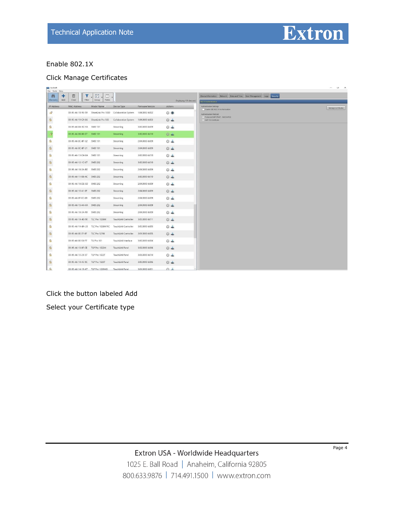

# Enable 802.1X

## Click Manage Certificates

| <b>ILL</b> foolbelt<br>File Tools Help |                                     |                 |                                         |                         |                          |                                                                        | $   -$              |
|----------------------------------------|-------------------------------------|-----------------|-----------------------------------------|-------------------------|--------------------------|------------------------------------------------------------------------|---------------------|
| άã<br>٠                                | 面<br>T                              | 陆<br>▥          |                                         |                         |                          | Device Information Network Date and Time User Management Logs Security |                     |
| Add<br>Discovery                       | Filter<br>Clear                     | Fields<br>Group |                                         |                         | Displaying 101 device(s) | 102.1X Authentication                                                  |                     |
| IP Address                             | <b>MAC Address</b>                  | Model Name      | Device Type                             | <b>Firmware Version</b> | <b>Actions</b>           | Authentication Settings<br>Enable IEEE 802.1X Authentication           | Manage Certificates |
| $\mathbf{r}$                           | 00-05-A6-1B-95-59                   |                 | ShareLink Pro 1000 Collaboration System | 1.04.0002-b002          | ◎●                       | Authentication Method<br>Protected EAP (PEAP) - MSCHAPV2               |                     |
| $\mathbf{a}$                           | 00-05-A6-19-CA-B6 ShareLink Pro 500 |                 | Collaboration System                    | 1.04.0000-b003          | $0 -$                    | EAP-TLS Certificate                                                    |                     |
| $\Delta$                               | 00-05-A6-0A-5C-9A SMD 101           |                 | Streaming                               | 3.00.0000-b009          | 04                       |                                                                        |                     |
| ்                                      | 00-05-A6-0B-80-57 SMD 101           |                 | Streaming                               | 3.00.0000-b010          | $0 +$                    |                                                                        |                     |
| $\mathbf{a}$                           | 00-05-A6-0C-87-32 SMD 101           |                 | Streaming                               | 2.04.0000-b009          | ಂತಿ                      |                                                                        |                     |
| $\mathbf{a}$<br>S.                     | 00-05-A6-0C-87-21 SMD 101           |                 | Streaming                               | 2.04.0000-b009          | $\circ$ $\cdot$          |                                                                        |                     |
| $\triangle$                            | 00-05-A6-13-D4-8A SMD 101           |                 | Streaming                               | 3.00.0000-b010          | 04                       |                                                                        |                     |
| $\mathbf{a}$<br>×.                     | 00-05-A6-12-1C-67 SMD 202           |                 | Streaming                               | 3.00.0000-b010          | 04                       |                                                                        |                     |
| $\mathbf{a}$                           | 00-05-A6-18-3A-BE SMD 202           |                 | Streaming                               | 2.04.0000-b009          | ◎▲                       |                                                                        |                     |
| $\theta$                               | 00-05-A6-11-88-AC SMD 202           |                 | Streaming                               | 3.00.0000-b010          | $04 - 10 = 10$           |                                                                        |                     |
| $\mathbf{a}$                           | 00-05-A6-18-DE-5D SMD 202           |                 | Streaming                               | 2.04.0000-b009          | ಂತಿ                      |                                                                        |                     |
| $\theta$<br>o en                       | 00-05-A6-10-41-0F SMD 202           |                 | Streaming                               | 2.04.0000-b009          | $\circ$ $\cdot$          |                                                                        |                     |
| $\Delta$                               | 00-05-A6-0F-EC-69 SMD 202           |                 | Streaming                               | 2.04.0000-b009          | 04                       |                                                                        |                     |
| $\mathbf{a}$<br>W                      | 00-05-A6-15-AA-8A SMD 202           |                 | Streaming                               | 2.04.0000-b009          | 24                       |                                                                        |                     |
| $\mathbf{a}$                           | 00-05-A6-18-3A-F0 SMD 202           |                 | Streaming                               | 2.04.0000-b009          | ಂತ್ಮಿ                    |                                                                        |                     |
| $\theta$                               | 00-05-A6-1A-43-90 TLC Pro 1026M     |                 | TouchLink Controller                    | 3.05.0000-b011          | $24 - 16$                |                                                                        |                     |
| $\mathbf{a}$                           | 00-05-A6-1A-8A-28 TLC Pro 1026M NC  |                 | TouchLink Controller                    | 3.05.0000-b005          | ್ಲ                       |                                                                        |                     |
| $\mathbf{a}$<br>a an                   | 00-05-A6-0E-7F-8F TLC Pro 521M      |                 | TouchLink Controller                    | 3.01.0000-b005          | $04 -$                   |                                                                        |                     |
| Δ                                      | 00-05-A6-0E-58-F7 TLI Pro 101       |                 | TouchLink Interface                     | 3.00.0000-b004          | 04                       |                                                                        |                     |
| $\mathbf{a}$                           | 00-05-A6-13-8F-CE TLP Pro 1022M     |                 | TouchLink Panel                         | 3.02.0000-b006          | 0.4                      |                                                                        |                     |
| $\theta$                               | 00-05-A6-10-20-37 TLP Pro 1022T     |                 | TouchLink Panel                         | 3.03.0000-b010          | ಂತ                       |                                                                        |                     |
| $\theta$                               | 00-05-A6-14-45-9C TLP Pro 1025T     |                 | TouchLink Panel                         | 3.00.0000-b006          | $\sum_{i=1}^{n}$         |                                                                        |                     |
| LA                                     | 00-05-A6-14-19-A7 TLP Pro 1220MG    |                 | TouchLink Panel                         | 3.01.0002-b001          | 合 3                      |                                                                        |                     |

## Click the button labeled Add

Select your Certificate type